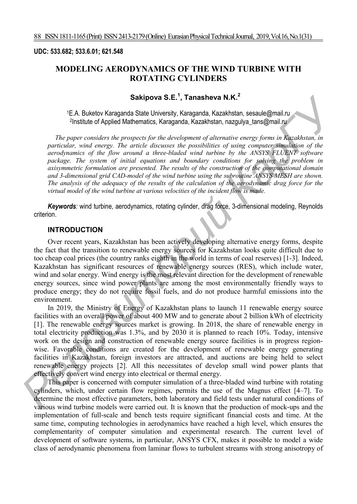#### **UDC: 533.682; 533.6.01; 621.548**

# **MODELING AERODYNAMICS OF THE WIND TURBINE WITH ROTATING CYLINDERS**

# **Sakipova S.E.<sup>1</sup> , Tanasheva N.K.<sup>2</sup>**

1E.A. Buketov Karaganda State University, Karaganda, Kazakhstan, sesaule@mail.ru 2Institute of Applied Mathematics, Karaganda, Kazakhstan, nazgulya tans@mail.ru

*The paper considers the prospects for the development of alternative energy forms in Kazakhstan, in particular, wind energy. The article discusses the possibilities of using computer simulation of the aerodynamics of the flow around a three-bladed wind turbine by the ANSYS FLUENT software package. The system of initial equations and boundary conditions for solving the problem in axisymmetric formulation are presented. The results of the construction of the computational domain and 3-dimensional grid CAD-model of the wind turbine using the subroutine ANSYS MESH are shown. The analysis of the adequacy of the results of the calculation of the aerodynamic drag force for the virtual model of the wind turbine at various velocities of the incident flow is made.* 

*Keywords:* wind turbine, aerodynamics, rotating cylinder, drag force, 3-dimensional modeling, Reynolds criterion.

### **INTRODUCTION**

Over recent years, Kazakhstan has been actively developing alternative energy forms, despite the fact that the transition to renewable energy sources for Kazakhstan looks quite difficult due to too cheap coal prices (the country ranks eighth in the world in terms of coal reserves) [1-3]. Indeed, Kazakhstan has significant resources of renewable energy sources (RES), which include water, wind and solar energy. Wind energy is the most relevant direction for the development of renewable energy sources, since wind power plants are among the most environmentally friendly ways to produce energy; they do not require fossil fuels, and do not produce harmful emissions into the environment.

In 2019, the Ministry of Energy of Kazakhstan plans to launch 11 renewable energy source facilities with an overall power of about 400 MW and to generate about 2 billion kWh of electricity [1]. The renewable energy sources market is growing. In 2018, the share of renewable energy in total electricity production was 1.3%, and by 2030 it is planned to reach 10%. Today, intensive work on the design and construction of renewable energy source facilities is in progress regionwise. Favorable conditions are created for the development of renewable energy generating facilities in Kazakhstan, foreign investors are attracted, and auctions are being held to select renewable energy projects [2]. All this necessitates of develop small wind power plants that effectively convert wind energy into electrical or thermal energy. **Example of Sakipova S.E. , Tanasheva N.K.**<br> **PERIMENT ACTION CONTROV** CONSUST CONSUST CONSUST CONTROVIDENTS (*KapCY CONTROVIDENTS) PERIMENT CONTROVIDENTS (CONTROVIDENTS) CONTROVIDENT CONTROVIDENT CONTROVIDENT CONT* 

This paper is concerned with computer simulation of a three-bladed wind turbine with rotating cylinders, which, under certain flow regimes, permits the use of the Magnus effect [4–7]. To determine the most effective parameters, both laboratory and field tests under natural conditions of various wind turbine models were carried out. It is known that the production of mock-ups and the implementation of full-scale and bench tests require significant financial costs and time. At the same time, computing technologies in aerodynamics have reached a high level, which ensures the complementarity of computer simulation and experimental research. The current level of development of software systems, in particular, ANSYS CFX, makes it possible to model a wide class of aerodynamic phenomena from laminar flows to turbulent streams with strong anisotropy of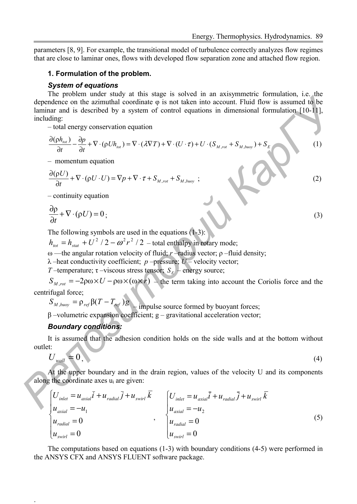parameters [8, 9]. For example, the transitional model of turbulence correctly analyzes flow regimes that are close to laminar ones, flows with developed flow separation zone and attached flow region.

#### **1. Formulation of the problem.**

#### *System of equations*

The problem under study at this stage is solved in an axisymmetric formulation, i.e. the dependence on the azimuthal coordinate φ is not taken into account. Fluid flow is assumed to be laminar and is described by a system of control equations in dimensional formulation [10-11], including: *Permission linest states <i>Parameterization control is a state of the state of the decribed by a system of entired equations in dimensional formulation [16-11]***<br>
<b>***Parameterization control equation in dimensional fo* 

– total energy conservation equation

$$
\frac{\partial (\rho h_{tot})}{\partial t} - \frac{\partial p}{\partial t} + \nabla \cdot (\rho U h_{tot}) = \nabla \cdot (\lambda \nabla T) + \nabla \cdot (U \cdot \tau) + U \cdot (S_{M,rot} + S_{M,buoy}) + S_E
$$
\n(1)

– momentum equation

$$
\frac{\partial(\rho U)}{\partial t} + \nabla \cdot (\rho U \cdot U) = \nabla p + \nabla \cdot \tau + S_{M, rot} + S_{M, buoy} ; \qquad (2)
$$

– continuity equation

$$
\frac{\partial \rho}{\partial t} + \nabla \cdot (\rho U) = 0 \tag{3}
$$

The following symbols are used in the equations  $(1-3)$ :

 $h_{tot} = h_{stat} + U^2 / 2 - \omega^2 r^2 / 2$  – total enthalpy in rotary mode;

ω —the angular rotation velocity of fluid; *r* –radius vector; ρ –fluid density;

 $λ$  –heat conductivity coefficient; *p* –pressure; *U* – velocity vector;

*T* –temperature;  $\tau$  –viscous stress tensor;  $S_E$  – energy source;

 $S_{M,rot} = -2\rho\omega \times U - \rho\omega \times (\omega \times r)$  – the term taking into account the Coriolis force and the centrifugal force;

 $S_{M, b_{\text{uoy}}} = \rho_{\text{ref}} \beta (T - T_{\text{ref}}) g_1$  impulse source formed by buoyant forces;

β –volumetric expansion coefficient; g – gravitational acceleration vector;

# *Boundary conditions:*

.

It is assumed that the adhesion condition holds on the side walls and at the bottom without outlet:

$$
U_{wall} = 0, \tag{4}
$$

At the upper boundary and in the drain region, values of the velocity U and its components along the coordinate axes  $u_i$  are given:

$$
\begin{cases}\nU_{\text{inlet}} = u_{\text{axial}}\overline{i} + u_{\text{radial}}\overline{j} + u_{\text{swirl}}\overline{k} \\
u_{\text{axial}} = -u_1 \\
u_{\text{radial}} = 0 \\
u_{\text{swirl}} = 0\n\end{cases}, \qquad\n\begin{cases}\nU_{\text{inlet}} = u_{\text{axial}}\overline{i} + u_{\text{radial}}\overline{j} + u_{\text{swirl}}\overline{k} \\
u_{\text{axial}} = -u_2 \\
u_{\text{radial}} = 0 \\
u_{\text{swirl}} = 0\n\end{cases}
$$
\n(5)

The computations based on equations (1-3) with boundary conditions (4-5) were performed in the ANSYS CFX and ANSYS FLUENT software package.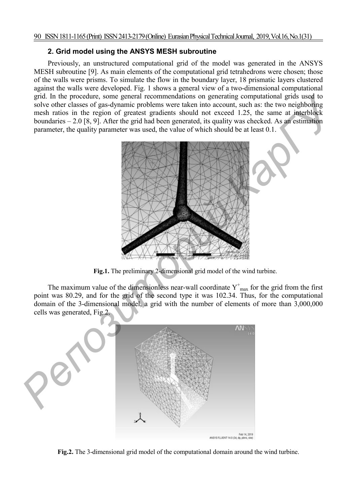# **2. Grid model using the ANSYS MESH subroutine**

Previously, an unstructured computational grid of the model was generated in the ANSYS MESH subroutine [9]. As main elements of the computational grid tetrahedrons were chosen; those of the walls were prisms. To simulate the flow in the boundary layer, 18 prismatic layers clustered against the walls were developed. Fig. 1 shows a general view of a two-dimensional computational grid. In the procedure, some general recommendations on generating computational grids used to solve other classes of gas-dynamic problems were taken into account, such as: the two neighboring mesh ratios in the region of greatest gradients should not exceed 1.25, the same at interblock boundaries – 2.0 [8, 9]. After the grid had been generated, its quality was checked. As an estimation parameter, the quality parameter was used, the value of which should be at least 0.1.



**Fig.1.** The preliminary 2-dimensional grid model of the wind turbine.

The maximum value of the dimensionless near-wall coordinate  $Y^{\dagger}$ <sub>max</sub> for the grid from the first point was 80.29, and for the grid of the second type it was 102.34. Thus, for the computational domain of the 3-dimensional model, a grid with the number of elements of more than 3,000,000 cells was generated, Fig.2.



**Fig.2.** The 3-dimensional grid model of the computational domain around the wind turbine.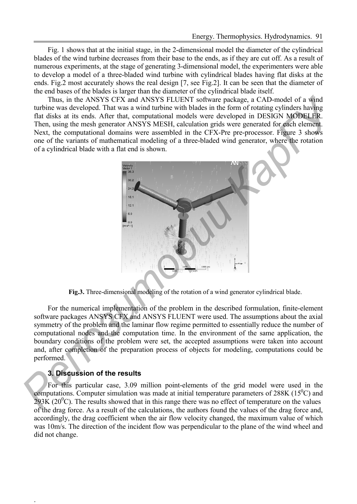Fig. 1 shows that at the initial stage, in the 2-dimensional model the diameter of the cylindrical blades of the wind turbine decreases from their base to the ends, as if they are cut off. As a result of numerous experiments, at the stage of generating 3-dimensional model, the experimenters were able to develop a model of a three-bladed wind turbine with cylindrical blades having flat disks at the ends. Fig.2 most accurately shows the real design [7, see Fig.2]. It can be seen that the diameter of the end bases of the blades is larger than the diameter of the cylindrical blade itself.

Thus, in the ANSYS CFX and ANSYS FLUENT software package, a CAD-model of a wind turbine was developed. That was a wind turbine with blades in the form of rotating cylinders having flat disks at its ends. After that, computational models were developed in DESIGN MODELER. Then, using the mesh generator ANSYS MESH, calculation grids were generated for each element. Next, the computational domains were assembled in the CFX-Pre pre-processor. Figure 3 shows one of the variants of mathematical modeling of a three-bladed wind generator, where the rotation of a cylindrical blade with a flat end is shown.



**Fig.3.** Three-dimensional modeling of the rotation of a wind generator cylindrical blade.

For the numerical implementation of the problem in the described formulation, finite-element software packages ANSYS CFX and ANSYS FLUENT were used. The assumptions about the axial symmetry of the problem and the laminar flow regime permitted to essentially reduce the number of computational nodes and the computation time. In the environment of the same application, the boundary conditions of the problem were set, the accepted assumptions were taken into account and, after completion of the preparation process of objects for modeling, computations could be performed.

### **3. Discussion of the results**

.

For this particular case, 3.09 million point-elements of the grid model were used in the computations. Computer simulation was made at initial temperature parameters of  $288K (15<sup>0</sup>C)$  and  $293K (20<sup>0</sup>C)$ . The results showed that in this range there was no effect of temperature on the values of the drag force. As a result of the calculations, the authors found the values of the drag force and, accordingly, the drag coefficient when the air flow velocity changed, the maximum value of which was 10m/s. The direction of the incident flow was perpendicular to the plane of the wind wheel and did not change.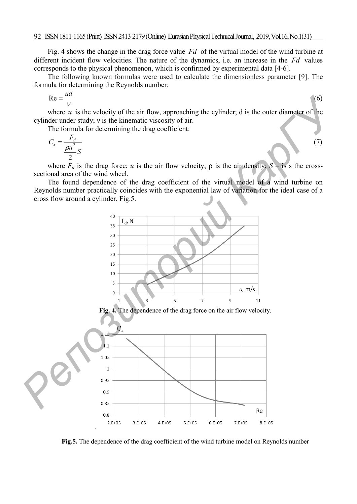Fig. 4 shows the change in the drag force value *Fd* of the virtual model of the wind turbine at different incident flow velocities. The nature of the dynamics, i.e. an increase in the *Fd* values corresponds to the physical phenomenon, which is confirmed by experimental data [4-6].

The following known formulas were used to calculate the dimensionless parameter [9]. The formula for determining the Reynolds number:

$$
\text{Re} = \frac{ud}{V} \tag{6}
$$

where  $u$  is the velocity of the air flow, approaching the cylinder; d is the outer diameter of the cylinder under study; ν is the kinematic viscosity of air.

The formula for determining the drag coefficient:

$$
C_x = \frac{F_d}{\frac{\rho u^2}{2} S} \tag{7}
$$

where  $F_d$  is the drag force; *u* is the air flow velocity;  $\rho$  is the air density;  $S -$  is s the crosssectional area of the wind wheel.

The found dependence of the drag coefficient of the virtual model of a wind turbine on Reynolds number practically coincides with the exponential law of variation for the ideal case of a cross flow around a cylinder, Fig.5.



**Fig. 4.** The dependence of the drag force on the air flow velocity.



**Fig.5.** The dependence of the drag coefficient of the wind turbine model on Reynolds number